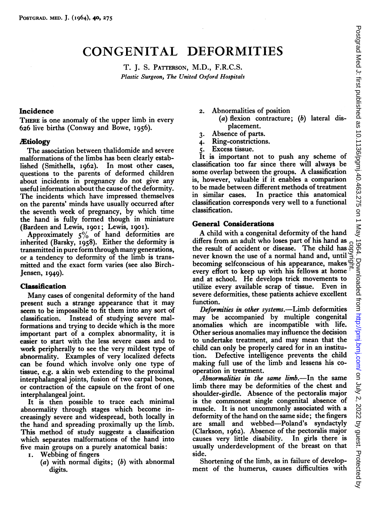# CONGENITAL DEFORMITIES

T. J. S. PATTERSON, M.D., F.R.C.S. Plastic Surgeon, The United Oxford Hospitals

## Incidence

THERE is one anomaly of the upper limb in every 626 live births (Conway and Bowe, I956).

## **Ætiology**

The association between thalidomide and severe malformations of the limbs has been clearly established (Smithells, 1962). In most other cases, questions to the parents of deformed children about incidents in pregnancy do not give any useful information about the cause of the deformity. The incidents which have impressed themselves on the parents' minds have usually occurred after the seventh week of pregnancy, by which time the hand is fully formed though in miniature (Bardeen and Lewis, I901; Lewis, 1901).

Approximately  $5\%$  of hand deformities are inherited (Barsky, 1958). Either the deformity is transmitted in pure form through many generations, or <sup>a</sup> tendency to deformity of the limb is transmitted and the exact form varies (see also Birch-Jensen, I949).

## Classification

Many cases of congenital deformity of the hand present such <sup>a</sup> strange appearance that it may seem to be impossible to fit them into any sort of classification. Instead of studying severe mal-Instead of studying severe malformations and trying to decide which is the more important part of a complex abnormality, it is easier to start with the less severe cases and to work peripherally to see the very mildest type of abnormality. Examples of very localized defects can be found which involve only one type of tissue, e.g. <sup>a</sup> skin web extending to the proximal interphalangeal joints, fusion of two carpal bones, or contraction of the capsule on the front of one

It is then possible to trace each minimal abnormality through stages which become increasingly severe and widespread, both locally in the hand and spreading proximally up the limb. This method of study suggests <sup>a</sup> classification which separates malformations of the hand into five main groups on a purely anatomical basis:<br>
I. Webbing of fingers

- Webbing of fingers
	- (a) with normal digits; (b) with abnormal digits.
- 2. Abnormalities of position
	- (a) flexion contracture; (b) lateral displacement.
- 
- 3. Absence of parts.<br>4. Ring-constriction Ring-constrictions.
- Excess tissue.

It is important not to push any scheme of classification too far since there will always be some overlap between the groups. A classification is, however, valuable if it enables a comparison to be made between different methods of treatment<br>in similar cases. In practice this anatomical In practice this anatomical classification corresponds very well to a functional classification.

## General Considerations

A child with <sup>a</sup> congenital deformity of the hand differs from an adult who loses part of his hand as the result of accident or disease. The child has never known the use of a normal hand and, until becoming selfconscious of his appearance, makes  $\frac{a}{2}$ every effort to keep up with his fellows at home and at school. He develops trick movements to utilize every available scrap of tissue. Even in severe deformities, these patients achieve excellent function. copyright.

Deformities in other systems.-Limb deformities may be accompanied by multiple congenital anomalies which are incompatible with life. Other serious anomalies may influence the decision to undertake treatment, and may mean that the child can only be properly cared for in an institu-Defective intelligence prevents the child making full use of the limb and lessens his cooperation in treatment.

Abnormalities in the same limb.-- In the same limb there may be deformities of the chest and shoulder-girdle. Absence of the pectoralis major is the commonest single congenital absence of muscle. It is not uncommonly associated with <sup>a</sup> deformity of the hand on the same side; the fingers are small and webbed-Poland's syndactyly (Clarkson, I962). Absence of the pectoralis major causes very little disability. In girls there is usually underdevelopment of the breast on that side.

Shortening of the limb, as in failure of development of the humerus, causes difficulties with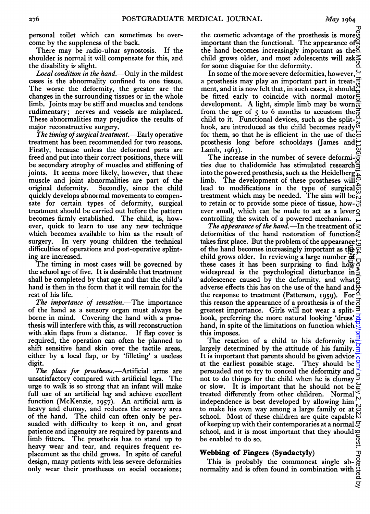personal toilet which can sometimes be overcome by the suppleness of the back.

There may be radio-ulnar synostosis. If the shoulder is normal it will compensate for this, and the disability is slight.

Local condition in the hand.-Only in the mildest cases is the abnormality confined to one tissue. The worse the deformity, the greater are the changes in the surrounding tissues or in the whole limb. Joints may be stiff and muscles and tendons rudimentary; nerves and vessels are misplaced. These abnormalities may prejudice the results of major reconstructive surgery.

The timing of surgical treatment.—Early operative treatment has been recommended for two reasons. Firstly, because unless the deformed parts are freed and put into their correct positions, there will be secondary atrophy of muscles and stiffening of joints. It seems more likely, however, that these muscle and joint abnormalities are part of the original deformity. Secondly, since the child Secondly, since the child quickly develops abnormal movements to compensate for certain types of deformity, surgical treatment should be carried out before the pattern becomes firmly established. The child, is, howwhich becomes available to him as the result of surgery. In very young children the technical difficulties of operations and post-operative splint ing are increased.

The timing in most cases will be governed by the school age of five. It is desirable that treatment shall be completed by that age and that the child's hand is then in the form that it will remain for the rest of his life.

The importance of sensation.-The importance of the hand as <sup>a</sup> sensory organ must always be borne in mind. Covering the hand with <sup>a</sup> pros thesis will interfere with this, as will reconstruction with skin flaps from a distance. required, the operation can often be planned to shift sensitive hand skin over the tactile areas, either by <sup>a</sup> local flap, or by 'filleting' <sup>a</sup> useless digit.

The place for prostheses.—Artificial arms are unsatisfactory compared with artificial legs. The urge to walk is so strong that an infant will make full use of an artificial leg and achieve excellent function (McKenzie, I957). An artificial arm is heavy and clumsy, and reduces the sensory area of the hand. The child can often only be persuaded with difficulty to keep it on, and great patience and ingenuity are required by parents and limb fitters. The prosthesis has to stand up to heavy wear and tear, and requires frequent replacement as the child grows. In spite of careful design, many patients with less severe deformities only wear their prostheses on social occasions;

the cosmetic advantage of the prosthesis is more $\%$ important than the functional. The appearance of  $\trianglelefteq$ the hand becomes increasingly important as the child grows older, and most adolescents will ask $\leq$ for some disguise for the deformity.

In some of the more severe deformities, however, <sup>a</sup> prosthesis may play an important part in treatment, and it is now felt that, in such cases, it should be fitted early to coincide with normal motor development. A light, simple limb may be worn  $\frac{1}{\sqrt{2}}$ from the age of  $5$  to 6 months to accustom the  $\frac{3}{6}$ child to it. Functional devices, such as the splithook, are introduced as the child becomes ready  $\ddot{\tilde{\phi}}$ for them, so that he is efficient in the use of the  $\vec{0}$ prosthesis long before schooldays (James and  $\rightarrow$ Lamb, I963).

The increase in the number of severe deformi- $\overline{S}$ ties due to thalidomide has stimulated research into the powered prosthesis, such as the Heidelberg  $\frac{1}{4}$ limb. The development of these prostheses will lead to modifications in the type of surgical treatment which may be needed. The aim will be to retain or to provide some piece of tissue, however small, which can be made to act as <sup>a</sup> lever controlling the switch of <sup>a</sup> powered mechanism.

*The appearance of the hand.—*In the treatment of  $\leq$ deformities of the hand restoration of function takes first place. But the problem of the appearance takes inst place. But the problem of the appearance<br>of the hand becomes increasingly important as the<br>child grows older. In reviewing a large number of child grows older. In reviewing a large number  $\mathbf{\hat{a}}$ these cases it has been surprising to find how widespread is the psychological disturbance in  $\leq$ adolescence caused by the deformity, and what  $\overline{S}$ adverse effects this has on the use of the hand and  $\frac{2}{5}$ the response to treatment (Patterson, 1959). For  $\tilde{\circ}$ this reason the appearance of a prosthesis is of the  $\overline{5}$ greatest importance. Girls will not wear a split- $\exists$ hook, preferring the more natural looking 'dress' hand, in spite of the limitations on function which this imposes. Postgrad Med J: first published as 10.1136/pgmj.40.463.275 on 1 May 1964. Downloaded from <http://pmj.bmj.com/> on July 2, 2022 by guest. Protected by

The reaction of <sup>a</sup> child to his deformity is largely determined by the attitude of his family. It is important that parents should be given advice at the earliest possible stage. They should be  $\frac{8}{3}$ persuaded not to try to conceal the deformity and not to do things for the child when he is clumsy or slow. It is important that he should not be  $\subseteq$ treated differently from other children. Normal independence is best developed by allowing him to make his own way among <sup>a</sup> large family or at school. Most of these children are quite capable of keeping up with their contemporaries at a normal  $\mathcal{F}$ school, and it is most important that they should be enabled to do so. Jest.

## Webbing of Fingers (Syndactyly)

This is probably the commonest single ab-**Webbing of Fingers (Syndactyly)**<br>This is probably the commonest single ab- $\frac{1}{100}$ <br>normality and is often found in combination with  $\frac{1}{100}$ 

ङ्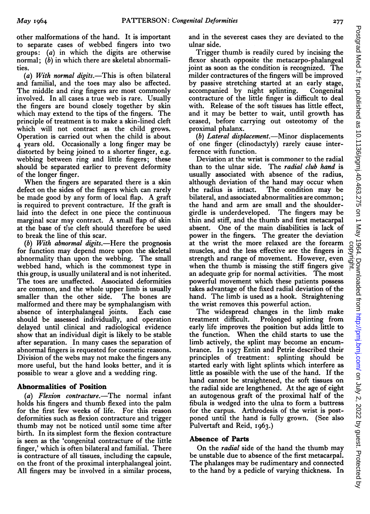Postgrad Med J: first published as 10.1136/pgmj.40.463.275 on 1 May 1964. Downloaded from http://pmj.bmj.com/ on July 2, 2022 by guest. Protected by<br>copyright. Postgrad Med J: first published as 10.1136/pgmj.40.463.275 on 1 May 1964. Downloaded from http://pmj.bmj.bmj.com/ on July 2, 2022 by guest. Protected by

other malformations of the hand. It is important to separate cases of webbed fingers into two groups: (a) in which the digits are otherwise normal;  $(b)$  in which there are skeletal abnormalities.

(a) With normal digits.-This is often bilateral and familial, and the toes may also be affected. The middle and ring fingers are most commonly involved. In all cases a true web is rare. Usually the fingers are bound closely together by skin which may extend to the tips of the fingers. The principle of treatment is to make a skin-lined cleft which will not contract as the child grows. Operation is carried out when the child is about 4 years old. Occasionally a long finger may be distorted by being joined to a shorter finger, e.g. webbing between ring and little fingers; these should be separated earlier to prevent deformity of the longer finger.

When the fingers are separated there is <sup>a</sup> skin defect on the sides of the fingers which can rarely be made good by any form of local flap. A graft is required to prevent contracture. If the graft is laid into the defect in one piece the continuous marginal scar may contract. A small flap of skin at the base of the cleft should therefore be used to break the line of this scar.

 $(b)$  With abnormal digits.—Here the prognosis for function may depend more upon the skeletal abnormality than upon the webbing. The small webbed hand, which is the commonest type in this group, is usually unilateral and is not inherited. The toes are unaffected. Associated deformities are common, and the whole upper limb is usually smaller than the other side. The bones are smaller than the other side. malformed and there may be symphalangism with absence of interphalangeal joints. Each case should be assessed individually, and operation delayed until clinical and radiological evidence show that an individual digit is likely to be stable after separation. In many cases the separation of abnormal fingers is requested for cosmetic reasons. Division of the webs may not make the fingers any more useful, but the hand looks better, and it is possible to wear a glove and a wedding ring.

# Abnormalities of Position

(a) Flexion contracture.—The normal infant holds his fingers and thumb flexed into the palm for the first few weeks of life. For this reason deformities such as flexion contracture and trigger thumb may not be noticed until some time after birth. In its simplest form the flexion contracture is seen as the 'congenital contracture of the little finger,' which is often bilateral and familial. There is contracture of all tissues, including the capsule, on the front of the proximal interphalangeal joint. All fingers may be involved in a similar process,

and in the severest cases they are deviated to the ulnar side.

Trigger thumb is readily cured by incising the flexor sheath opposite the metacarpo-phalangeal joint as soon as the condition is recognized. The milder contractures of the fingers will be improved by passive stretching started at an early stage, accompanied by night splinting. Congenital contracture of the little finger is difficult to deal with. Release of the soft tissues has little effect, and it may be better to wait, until growth has ceased, before carrying out osteotomy of the proximal phalanx.

 $(b)$  Lateral displacement.--Minor displacements of one finger (clinodactyly) rarely cause interference with function.

Deviation at the wrist is commoner to the radial than to the ulnar side. The radial club hand is usually associated with absence of the radius, although deviation of the hand may occur when<br>the radius is intact. The condition may be The condition may be bilateral, and associated abnormalities are common; the hand and arm are small and the shouldergirdle is underdeveloped. The fingers may be thin and stiff, and the thumb and first metacarpal absent. One of the main disabilities is lack of power in the fingers. The greater the deviation at the wrist the more relaxed are the forearm muscles, and the less effective are the fingers in strength and range of movement. However, even when the thumb is missing the stiff fingers give an adequate grip for normal activities. The most powerful movement which these patients possess takes advantage of the fixed radial deviation of the hand. The limb is used as a hook. Straightening the wrist removes this powerful action.

The widespread changes in the limb make<br>treatment difficult. Prolonged splinting from Prolonged splinting from early life improves the position but adds little to the function. When the child starts to use the limb actively, the splint may become an encumbrance. In 1957 Entin and Petrie described their principles of treatment: splinting should be started early with light splints which interfere as little as possible with the use of the hand. If the hand cannot be straightened, the soft tissues on the radial side are lengthened. At the age of eight an autogenous graft of the proximal half of the fibula is wedged into the ulna to form a buttress for the carpus. Arthrodesis of the wrist is postponed until the hand is fully grown. (See also Pulvertaft and Reid, 1963.)

## Absence of Parts

On the radial side of the hand the thumb may be unstable due to absence of the first metacarpal. The phalanges may be rudimentary and connected to the hand by a pedicle of varying thickness. In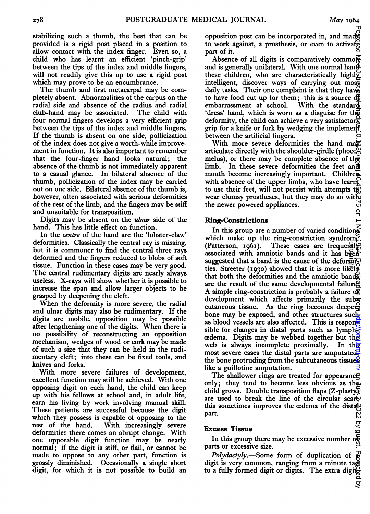stabilizing such <sup>a</sup> thumb, the best that can be provided is a rigid post placed in a position to allow contact with the index finger. Even so, <sup>a</sup> child who has learnt an efficient 'pinch-grip' between the tips of the index and middle fingers,<br>will not readily give this up to use a rigid post which may prove to be an encumbrance.

The thumb and first metacarpal may be completely absent. Abnormalities of the carpus on the radial side and absence of the radius and radial club-hand may be associated. The child with four normal fingers develops <sup>a</sup> very efficient grip between the tips of the index and middle fingers. If the thumb is absent on one side, pollicization of the index does not give a worth-while improvement in function. It is also important to remember that the four-finger hand looks natural; the absence of the thumb is not immediately apparent to a casual glance. In bilateral absence of the thumb, pollicization of the index may be carried out on one side. Bilateral absence of the thumb is, however, often associated with serious deformities of the rest of the limb, and the fingers may be stiff and unsuitable for transposition.

Digits may be absent on the *ulnar* side of the hand. This has little effect on function.

In the centre of the hand are the 'lobster-claw' deformities. Classically the central ray is missing, but it is commoner to find the central three rays deformed and the fingers reduced to blobs of soft The central rudimentary digits are nearly always useless. X-rays will show whether it is possible to increase the span and allow larger objects to be grasped by deepening the cleft.

When the deformity is more severe, the radial and ulnar digits may also be rudimentary. If the digits are mobile, opposition may be possible after lengthening one of the digits. When there is no possibility of reconstructing an opposition mechanism, wedges of wood or cork may be made of such <sup>a</sup> size that they can be held in the rudimentary cleft; into these can be fixed tools, and knives and forks.

With more severe failures of development, excellent function may still be achieved. With one opposing digit on each hand, the child can keep up with his fellows at school and, in adult life, earn his living by work involving manual skill.<br>These patients are successful because the digit which they possess is capable of opposing to the<br>rest of the hand. With increasingly severe With increasingly severe deformities there comes an abrupt change. With one opposable digit function may be nearly normal; if the digit is stiff, or flail, or cannot be made to oppose to any other part, function is grossly diminished. Occasionally a single short digit, for which it is not possible to build an

opposition post can be incorporated in, and made to work against, a prosthesis, or even to activate part of it.

Absence of all digits is comparatively commo $\mathbb{\mathbb{R}}$ and is generally unilateral. With one normal handthese children, who are characteristically highly intelligent, discover ways of carrying out most daily tasks. Their one complaint is that they have to have food cut up for them; this is a source of embarrassment at school. With the standard embarrassment at school. 'dress' hand, which is worn as a disguise for the deformity, the child can achieve a very satisfactor $\frac{1}{6}$ grip for a knife or fork by wedging the implements<br>between the artificial fingers.

With more severe deformities the hand ma $\vec{x}$ articulate directly with the shoulder-girdle (phoco5) melus), or there may be complete absence of the<br>limb. In these severe deformities the feet and In these severe deformities the feet and mouth become increasingly important. Childrenwith absence of the upper limbs, who have learnt to use their feet, will not persist with attempts  $t\overline{\mathcal{D}}$ . wear clumsy prostheses, but they may do so with the newer powered appliances.  $\overline{a}$ 

## Ring-Constrictions

In this group are a number of varied conditions which make up the ring-constriction syndrome.<br>(Patterson, 1961). These cases are frequently These cases are frequently associated with amniotic bands and it has been suggested that a band is the cause of the deformit ties. Streeter (1930) showed that it is more likely that both the deformities and the amniotic bands are the result of the same developmental failures A simple ring-constriction is probably a failure  $\sigma_{\overline{B}}$ development which affects primarily the subcutaneous tissue. As the ring becomes deeper, bone may be exposed, and other structures such as blood vessels are also affected. This is respondent sible for changes in distal parts such as lymph oedema. Digits may be webbed together but the web is always incomplete proximally. In the web is always incomplete proximally. most severe cases the distal parts are amputated. the bone protruding from the subcutaneous tissues like a guillotine amputation. copyright.on All you are the train on Med Jing 2, 2022 by guest. Protected by http://pmj.com/ Postgrad Med Jing 2, 2022 on 1 May 1964. Downloaded from the ted we style where the ted we style where the ted we style where t

The shallower rings are treated for appearance only; they tend to become less obvious as the child grows. Double transposition flaps (Z-plasty $\overline{\mathcal{F}}$ are used to break the line of the circular scary this sometimes improves the  $\alpha$ dema of the distal-<br>part. part.

## Excess Tissue

In this group there may be excessive number of parts or excessive size.

Polydactyly.—Some form of duplication of as digit is very common, ranging from <sup>a</sup> minute tag to a fully formed digit or digits. The extra digit

्र